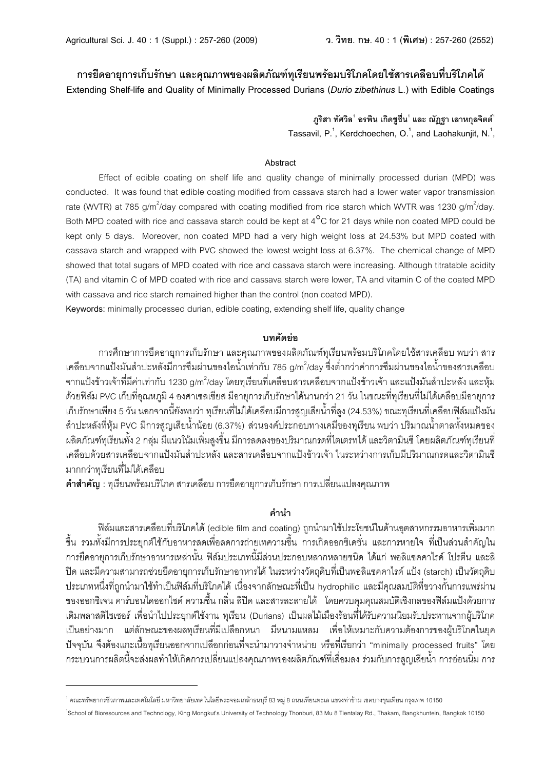# ี การยืดอายการเก็บรักษา และคณภาพของผลิตภัณฑ์ทเรียนพร้อมบริโภคโดยใช้สารเคลือบที่บริโภคได้

**Extending Shelf-life and Quality of Minimally Processed Durians (***Durio zibethinus* **L.) with Edible Coatings**

 $\eta$ ริสา ทัศวิล $^{\dagger}$  อรพิน เกิดชูชื่น $^{\dagger}$  และ ณัฏฐา เลาหกุลจิตต์ $^{\dagger}$ Tassavil, P.<sup>1</sup>, Kerdchoechen, O.<sup>1</sup>, and Laohakunjit, N.<sup>1</sup>,

#### **Abstract**

Effect of edible coating on shelf life and quality change of minimally processed durian (MPD) was conducted. It was found that edible coating modified from cassava starch had a lower water vapor transmission rate (WVTR) at 785 g/m $^2$ /day compared with coating modified from rice starch which WVTR was 1230 g/m $^2$ /day. Both MPD coated with rice and cassava starch could be kept at 4<sup>o</sup>C for 21 days while non coated MPD could be kept only 5 days. Moreover, non coated MPD had a very high weight loss at 24.53% but MPD coated with cassava starch and wrapped with PVC showed the lowest weight loss at 6.37%. The chemical change of MPD showed that total sugars of MPD coated with rice and cassava starch were increasing. Although titratable acidity (TA) and vitamin C of MPD coated with rice and cassava starch were lower, TA and vitamin C of the coated MPD with cassava and rice starch remained higher than the control (non coated MPD).

**Keywords:** minimally processed durian, edible coating, extending shelf life, quality change

### **+0,'c(**

การศึกษาการยืดอายุการเก็บรักษา และคุณภาพของผลิตภัณฑ์ทุเรียนพร้อมบริโภคโดยใช้สารเคลื่อบ พบว่า สาร เคลือบจากแป้งมันสำปะหลังมีการซึมผ่านของไอน้ำเท่ากับ 785 g/m<sup>2</sup>/day ซึ่งต่ำกว่าค่าการซึมผ่านของไอน้ำของสารเคลือบ จากแป้งข้าวเจ้าที่มีค่าเท่ากับ 1230 g/m $^2$ /day โดยทุเรียนที่เคลือบสารเคลือบจากแป้งข้าวเจ้า และแป้งมันสำปะหลัง และหุ้ม \_ด้วยฟิล์ม PVC เก็บที่อณหภมิ 4 องศาเซลเซียส มีอายการเก็บรักษาได้นานกว่า 21 วัน ในขณะที่ทเรียนที่ไม่ได้เคลือบมีอายการ .เก็บรักษาเพียง 5 วัน นอกจากนี้ยังพบว่า ทุเรียนที่ไม่ได้เคลือบมีการสูญเสียน้ำที่สูง (24.53%) ขณะทุเรียนที่เคลือบฟิล์มแป้งมัน Z`6^FaECLRSea?UV PVC VSก67Zhi@ZS;Td`6TU>; (6.37%) Z\[T>LGQ^7Fก>BR6L@GVSK>LR?@7S;T JB[\6 ^7NV6HTd`6O6ERCdLaV=K>L .<br>ผลิตภัณฑ์ทูเรียนทั้ง 2 กลุ่ม มีแนวโน้มเพิ่มสูงขึ้น มีการลดลงของปริมาณกรดที่ไตเตรทได้ และวิตามินซี โดยผลิตภัณฑ์ทุเรียนที่ ้ เคลื่อบด้วยสารเคลื่อบจากแป้งมันสำปะหลัง และสารเคลื่อบจากแป้งข้าวเจ้า ในระหว่างการเก็บมีปริมาณกรดและวิตามินซึ มากกว่าทุเรียนที่ไม่ได้เคลือบ

**คำสำคัญ** : ทุเรียนพร้อมบริโภค สารเคลื่อบ การยืดอายุการเก็บรักษา การเปลี่ยนแปลงคุณภาพ

## **ค**ำนำ

้ฟิล์มและสารเคลือบที่บริโภคได้ (edible film and coating) ถูกนำมาใช้ประโยชน์ในด้านอุตสาหกรรมอาหารเพิ่มมาก ์ ขึ้น รวมทั้งมีการประยุกต์ใช้กับอาหารสดเพื่อลดการถ่ายเทความขึ้น การเกิดออกซิเดชั่น และการหายใจ ที่เป็นส่วนสำคัญใน ึการยืดอายุการเก็บรักษาอาหารเหล่านั้น ฟิล์มประเภทนี้มีส่วนประกอบหลากหลายชนิด ได้แก่ พอลิแซคคาไรด์ โปรตีน และลิ ้ ปิด และมีความสามารถช่วยยืดอายุการเก็บรักษาอาหารได้ ในระหว่างวัตถุดิบที่เป็นพอลิแซคคาไรด์ แป้ง (starch) เป็นวัตถุดิบ ^7F@IRaT9eLRSejhกT`6V6XYUR`6@^kTfgEQVRSeB7NWIGc=U @T<e>L]6กECก:HFRSe@^kT hydrophilic DEFVSG?HZVBCONRSeK[6LกCdTก67DJ7\M\6T ของออกซิเจน คาร์บอนไดออกไซด์ ความขึ้น กลิ่น ลิปิด และสารละลายได้ โดยควบคุมคุณสมบัติเชิงกลของฟิล์มแป้งด้วยการ ้ เติมพลาสติไซเซอร์ เพื่อนำไปประยุกต์ใช้งาน ทุเรียน (Durians) เป็นผลไม้เมืองร้อนที่ได้รับความนิยมรับประทานจากผู้บริโภค ้ เป็นอย่างมาก แต่ลักษณะของผลทุเรียนที่มีเปลือกหนา มีหนามแหลม เพื่อให้เหมาะกับความต้องการของผู้บริโภคในยุค ้ ปัจจุบัน จึงต้องแกะเนื้อทุเรียนออกจากเปลือกก่อนที่จะนำมาวางจำหน่าย หรือที่เรียกว่า "minimally processed fruits" โดย ึ กระบวนการผลิตนี้จะส่งผลทำให้เกิดการเปลี่ยนแปลงคุณภาพของผลิตภัณฑ์ที่เสื่อมลง ร่วมกับการสูญเสียน้ำ การอ่อนนิ่ม การ

 $^{\rm 1}$ คณะทรัพยากรซีวภาพและเทคโนโลยี มหาวิทยาลัยเทคโนโลยีพระจอมเกล้าธนบุรี 83 หมู่ 8 ถนนเทียนทะเล แขวงท่าข้าม เขตบางขุนเทียน กรุงเทพ 10150

<sup>&</sup>lt;sup>1</sup>School of Bioresources and Technology, King Mongkut's University of Technology Thonburi, 83 Mu 8 Tientalay Rd., Thakam, Bangkhuntein, Bangkok 10150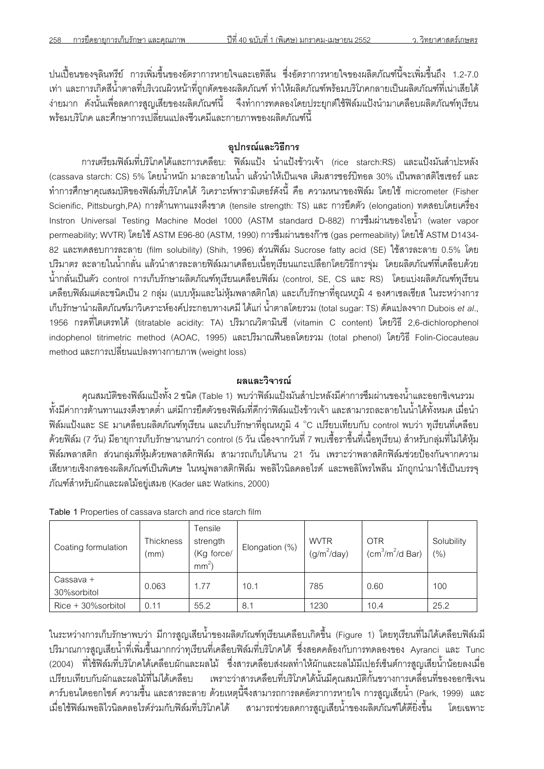ปนเปื้อนของจุลินทรีย์ การเพิ่มขึ้นของอัตราการหายใจและเอทิลีน ซึ่งอัตราการหายใจของผลิตภัณฑ์นี้จะเพิ่มขึ้นถึง 1.2-7.0 เท่า และการเกิดสีน้ำตาลที่บริเวณผิวหน้าที่ถูกตัดของผลิตภัณฑ์ ทำให้ผลิตภัณฑ์พร้อมบริโภคกลายเป็นผลิตภัณฑ์ที่เน่าเสียได้ ้ง่ายมาก ดังนั้นเพื่อลดการสูญเสียของผลิตภัณฑ์นี้ จึงทำการทดลองโดยประยุกต์ใช้ฟิล์มแป้งนำมาเคลือบผลิตภัณฑ์ทุเรียน ้พร้อมบริโภค และศึกษาการเปลี่ยนแปลงชีวเคมีและกายภาพของผลิตภัณฑ์นี้

# อปกรณ์และวิธีการ

ี<br>การเตรียมฟิล์มที่บริโภคได้และการเคลือบ: ฟิล์มแป้ง นำแป้งข้าวเจ้า (rice starch:RS) และแป้งมันสำปะหลัง (cassava starch: CS) 5% โดยน้ำหนัก มาละลายในน้ำ แล้วนำให้เป็นเจล เติมสารซอร์บิทอล 30% เป็นพลาสติไซเซอร์ และ ทำการศึกษาคุณสมบัติของฟิล์มที่บริโภคได้ วิเคราะห์พารามิเตอร์ดังนี้ คือ ความหนาของฟิล์ม โดยใช้ micrometer (Fisher Scienific, Pittsburgh,PA) การต้านทานแรงตึงขาด (tensile strength: TS) และ การยืดตัว (elongation) ทดสอบโดยเครื่อง Instron Universal Testing Machine Model 1000 (ASTM standard D-882) การซึมผ่านของไอน้ำ (water vapor permeability; WVTR) โดยใช้ ASTM E96-80 (ASTM, 1990) การซึมผ่านของก๊าซ (gas permeability) โดยใช้ ASTM D1434-82 และทดสอบการละลาย (film solubility) (Shih, 1996) ส่วนฟิล์ม Sucrose fatty acid (SE) ใช้สารละลาย 0.5% โดย ปริมาตร ละลายในน้ำกลั่น แล้วนำสารละลายฟิล์มมาเคลือบเนื้อทุเรียนแกะเปลือกโดยวิธีการจุ่ม โดยผลิตภัณฑ์ที่เคลือบด้วย น้ำกลั่นเป็นตัว control การเก็บรักษาผลิตภัณฑ์ทุเรียนเคลือบฟิล์ม (control, SE, CS และ RS) โดยแบ่งผลิตภัณฑ์ทุเรียน ้เคลื่อบฟิล์มแต่ละชนิดเป็น 2 กลุ่ม (แบบหุ้มและไม่หุ้มพลาสติกใส) และเก็บรักษาที่อุณหภูมิ 4 องศาเซลเซียส ในระหว่างการ ้<br>เก็บรักษานำผลิตภัณฑ์มาวิเคราะห์องค์ประกอบทางเคมี ได้แก่ น้ำตาลโดยรวม (total sugar: TS) ดัดแปลงจาก Dubois *et al*., 1956 กรดที่ไตเตรทได้ (titratable acidity: TA) ปริมาณวิตามินซี (vitamin C content) โดยวิธี 2,6-dichlorophenol indophenol titrimetric method (AOAC, 1995) และปริมาณฟื้นอลโดยรวม (total phenol) โดยวิธี Folin-Ciocauteau method และการเปลี่ยนแปลงทางกายภาพ (weight loss)

## ผลและวิจารณ์

ี คุณสมบัติของฟิล์มแป้งทั้ง 2 ชนิด (Table 1) พบว่าฟิล์มแป้งมันสำปะหลังมีค่าการซึมผ่านของน้ำและออกซิเจนรวม ้ทั้งมีค่าการต้านทานแรงตึงขาดต่ำ แต่มีการยืดตัวของฟิล์มที่ดีกว่าฟิล์มแป้งข้าวเจ้า และสามารถละลายในน้ำได้ทั้งหมด เมื่อนำ ฟิล์มแป้งและ SE มาเคลือบผลิตภัณฑ์ทุเรียน และเก็บรักษาที่อุณหภูมิ 4 °C เปรียบเทียบกับ control พบว่า ทุเรียนที่เคลือบ ้ด้วยฟิล์ม (7 วัน) มีอายุการเก็บรักษานานกว่า control (5 วัน เนื่องจากวันที่ 7 พบเชื้อราขึ้นที่เนื้อทุเรียน) สำหรับกลุ่มที่ไม่ได้หุ้ม ี่ฟิล์มพลาสติก ส่วนกลุ่มที่หุ้มด้วยพลาสติกฟิล์ม สามารถเก็บได้นาน 21 วัน เพราะว่าพลาสติกฟิล์มช่วยป้องกันจากความ เสียหายเชิงกลของผลิตภัณฑ์เป็นพิเศษ ในหมู่พลาสติกฟิล์ม พอลิไวนิลคลอไรด์ และพอลิโพรไพลีน มักถูกนำมาใช้เป็นบรรจุ ้ภัณฑ์สำหรับผักและผลไม้อยู่เสมอ (Kader และ Watkins, 2000)

| Coating formulation      | Thickness<br>(mm) | Tensile<br>strength<br>(Kg force/<br>mm <sup>2</sup> | Elongation (%) | <b>WVTR</b><br>$(g/m^2/day)$ | <b>OTR</b><br>(cm <sup>3</sup> /m <sup>2</sup> /d Bar) | Solubility<br>(%) |
|--------------------------|-------------------|------------------------------------------------------|----------------|------------------------------|--------------------------------------------------------|-------------------|
| Cassava +<br>30%sorbitol | 0.063             | 1.77                                                 | 10.1           | 785                          | 0.60                                                   | 100               |
| $Rice + 30\%$ sorbitol   | 0.11              | 55.2                                                 | 8.1            | 1230                         | 10.4                                                   | 25.2              |

Table 1 Properties of cassava starch and rice starch film

ในระหว่างการเก็บรักษาพบว่า มีการสณเสียน้ำของผลิตภัณฑ์ทเรียนเคลื่อบเกิดขึ้น (Figure 1) โดยทเรียนที่ไม่ได้เคลื่อบฟิล์มมี ปริมาณการสูญเสียน้ำที่เพิ่มขึ้นมากกว่าทุเรียนที่เคลือบฟิล์มที่บริโภคได้ ซึ่งสอดคล้องกับการทดลองของ Ayranci และ Tunc (2004) ที่ใช้ฟิล์มที่บริโภคได้เคลือบผักและผลไม้ ซึ่งสารเคลือบส่งผลทำให้ผักและผลไม้มีเปอร์เซ็นต์การสูญเสียน้ำน้อยลงเมื่อ ู<br>เปรียบเทียบกับผักและผลไม้ที่ไม่ได้เคลือบ เพราะว่าสารเคลือบที่บริโภคได้นั้นมีคุณสมบัติกั้นขวางการเคลื่อนที่ของออกซิเจน ี คาร์บอนไดออกไซด์ ความขึ้น และสารละลาย ด้วยเหตุนี้จึงสามารถการลดอัตราการหายใจ การสูญเสียน้ำ (Park, 1999) และ เมื่อใช้ฟิล์มพอลิไวนิลคลอไรด์ร่วมกับฟิล์มที่บริโภคได้ สามารถช่วยลดการสูญเสียน้ำของผลิตภัณฑ์ได้ดียิ่งขึ้น โดยเฉพาะ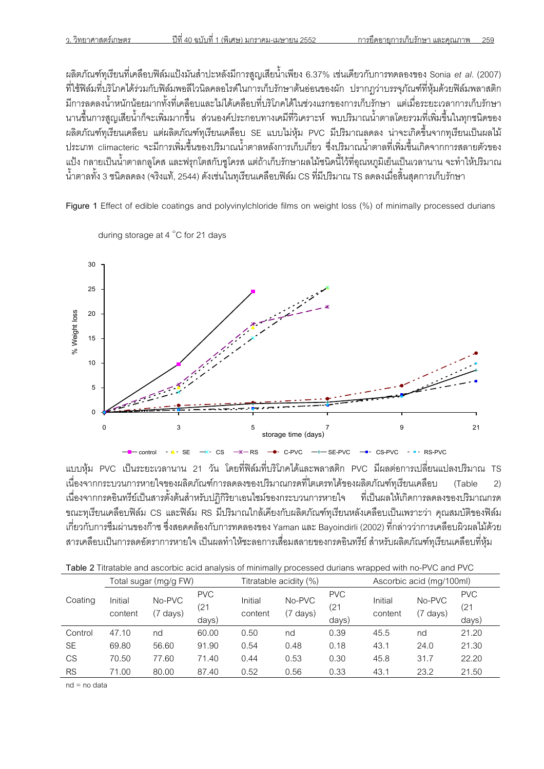นลิตภัณฑ์ทุเรียนที่เคลือบฟิล์มแป้งมันสำปะหลังมีการสูญเสียน้ำเพียง 6.37% เช่นเดียวกับการทดลองของ Sonia *et al*. (2007) ี ที่ใช้ฟิล์มที่บริโภคได้ร่วมกับฟิล์มพอลีไวนิลคลอไรด์ในการเก็บรักษาต้นอ่อนของผัก ปรากฦว่าบรรจุภัณฑ์ที่หุ้มด้วยฟิล์มพลาสติก ้ มีการลดลงน้ำหนักน้อยมากทั้งที่เคลือบและไม่ได้เคลือบที่บริโภคได้ในช่วงแรกของการเก็บรักษา แต่เมื่อระยะเวลาการเก็บรักษา นานขึ้นการสณเสียน้ำก็จะเพิ่มมากขึ้น ส่วนองค์ประกอบทางเคมีที่วิเคราะห์ พบปริมาณน้ำตาลโดยรวมที่เพิ่มขึ้นในทกชนิดของ ี ผลิตภัณฑ์ทุเรียนเคลือบ แต่ผลิตภัณฑ์ทุเรียนเคลือบ SE แบบไม่หุ้ม PVC มีปริมาณลดลง น่าจะเกิดขึ้นจากทุเรียนเป็นผลไม้ ^7F@IR climacteric ]FVSก67@JNeVK9dTK>L^7NV6HTd`6O6EaECLก67@กAB@กSe;[ b9eL^7NV6HTd`6O6ERSe@JNeVK9dT@กN=]6กก67ZE6;OC[K>L แป้ง กลายเป็นน้ำตาลกลูโคส และฟรุกโตสกับซูโครส แต่ถ้าเก็บรักษาผลไม้ชนิดนี้ไว้ที่อุณหภูมิเย็นเป็นเวลานาน จะทำให้ปริมาณ ี น้ำตาลทั้ง 3 ชนิดลดลง (จริงแท้, 2544) ดังเช่นในทเรียนเคลือบฟิล์ม CS ที่มีปริมาณ TS ลดลงเมื่อสิ้นสดการเก็บรักษา

**Figure 1** Effect of edible coatings and polyvinylchloride films on weight loss (%) of minimally processed durians



during storage at 4 C for 21 days

ี แบบห้ม PVC เป็นระยะเวลานาน 21 วัน โดยที่ฟิล์มที่บริโภคได้และพลาสติก PVC มีผลต่อการเปลี่ยนแปลงปริมาณ TS ้ เนื่องจากกระบวนการหายใจของผลิตภัณฑ์การลดลงของปริมาณกรดที่ไตเตรทได้ของผลิตภัณฑ์ทุเรียนเคลือบ (Table 2) ้เนื่องจากกรดอินทรีย์เป็นสารตั้งต้นลำหรับปฏิกิริยาเอนไซม์ของกระบวนการหายใจ ที่เป็นผลให้เกิดการลดลงของปริมาณกรด ขณะทุเรียนเคลือบฟิล์ม CS และฟิล์ม RS มีปริมาณใกล้เคียงกับผลิตภัณฑ์ทุเรียนหลังเคลือบเป็นเพราะว่า คุณสมบัติของฟิล์ม .เกี่ยวกับการซึมผ่านของก๊าซ ซึ่งสอดคล้องกับการทดลองของ Yaman และ Bayoindirli (2002) ที่กล่าวว่าการเคลือบผิวผลไม้ด้วย สารเคลือบเป็นการลดอัตราการหายใจ เป็นผลทำให้ชะลอการเสื่อมสลายของกรดอินทรีย์ สำหรับผลิตภัณฑ์ทุเรียนเคลือบที่หุ้ม

|  | Table 2 Titratable and ascorbic acid analysis of minimally processed durians wrapped with no-PVC and PVC |
|--|----------------------------------------------------------------------------------------------------------|
|  |                                                                                                          |

|           | Total sugar (mg/g FW) |                    |                            | Titratable acidity (%) |                    |                            | Ascorbic acid (mg/100ml) |                    |                             |
|-----------|-----------------------|--------------------|----------------------------|------------------------|--------------------|----------------------------|--------------------------|--------------------|-----------------------------|
| Coating   | Initial<br>content    | No-PVC<br>(7 days) | <b>PVC</b><br>(21<br>days) | Initial<br>content     | No-PVC<br>(7 days) | <b>PVC</b><br>(21<br>days) | Initial<br>content       | No-PVC<br>(7 days) | <b>PVC</b><br>(21)<br>days) |
| Control   | 47.10                 | nd                 | 60.00                      | 0.50                   | nd                 | 0.39                       | 45.5                     | nd                 | 21.20                       |
| <b>SE</b> | 69.80                 | 56.60              | 91.90                      | 0.54                   | 0.48               | 0.18                       | 43.1                     | 24.0               | 21.30                       |
| <b>CS</b> | 70.50                 | 77.60              | 71.40                      | 0.44                   | 0.53               | 0.30                       | 45.8                     | 31.7               | 22.20                       |
| <b>RS</b> | 71.00                 | 80.00              | 87.40                      | 0.52                   | 0.56               | 0.33                       | 43.1                     | 23.2               | 21.50                       |

 $nd = no data$